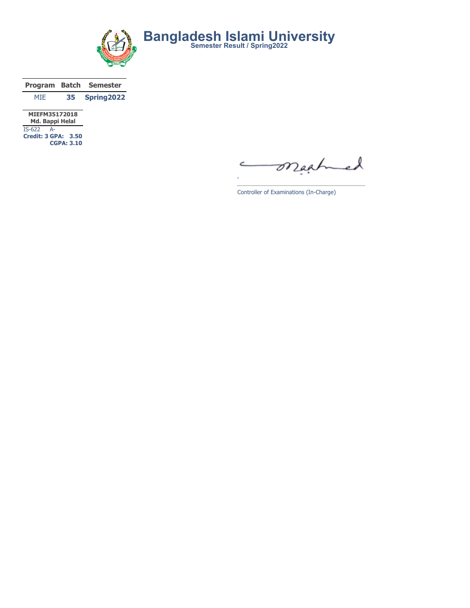

|                 |    | <b>Program Batch Semester</b> |
|-----------------|----|-------------------------------|
| MTF.            | 35 | Spring2022                    |
| 170011001170010 |    |                               |

MIEFM35172018 Md. Bappi Helal IS-622 A-Credit: 3 GPA: 3.50 CGPA: 3.10

maatme l

Controller of Examinations (In-Charge)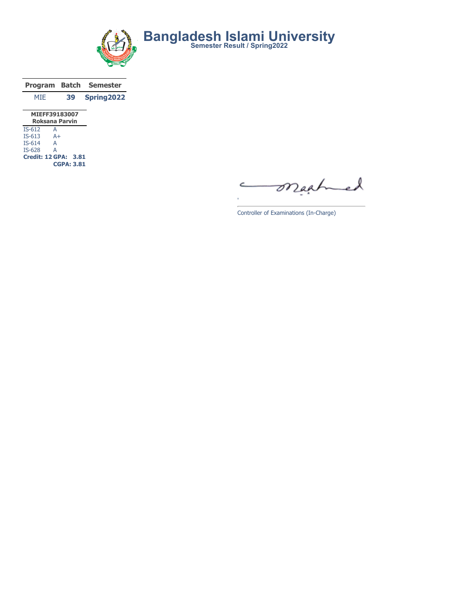

|               |    | Program Batch Semester |
|---------------|----|------------------------|
| MTF.          | 39 | Spring2022             |
| MIEFF39183007 |    |                        |

| Roksana Parvin |                      |  |  |  |  |  |  |  |  |  |
|----------------|----------------------|--|--|--|--|--|--|--|--|--|
| $IS-612$       | А                    |  |  |  |  |  |  |  |  |  |
| $IS-613$       | $A+$                 |  |  |  |  |  |  |  |  |  |
| $IS-614$       | А                    |  |  |  |  |  |  |  |  |  |
| $IS-628$       | А                    |  |  |  |  |  |  |  |  |  |
|                | Credit: 12 GPA: 3.81 |  |  |  |  |  |  |  |  |  |
|                | <b>CGPA: 3.81</b>    |  |  |  |  |  |  |  |  |  |

mached C

Controller of Examinations (In-Charge)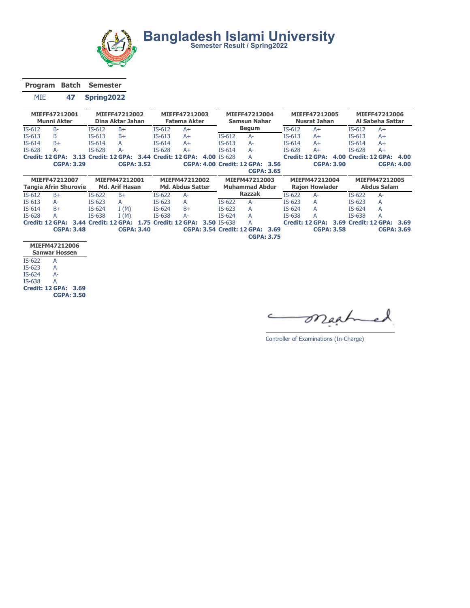

Bangladesh Islami University<br>
Semester Result / Spring2022

Program Batch Semester

MIE 47 Spring2022

|                                | MIEFF47212001<br>MIEFF47212002<br><b>Munni Akter</b><br>Dina Aktar Jahan |      |          | MIEFF47212003<br><b>Fatema Akter</b> | MIEFF47212004<br>Samsun Nahar |          |                         |                    | MIEFF47212005<br><b>Nusrat Jahan</b> |      | MIEFF47212006<br><b>Al Sabeha Sattar</b> |                       |                   |          |                      |      |
|--------------------------------|--------------------------------------------------------------------------|------|----------|--------------------------------------|-------------------------------|----------|-------------------------|--------------------|--------------------------------------|------|------------------------------------------|-----------------------|-------------------|----------|----------------------|------|
| $IS-612$                       | $B -$                                                                    |      | $IS-612$ | $B+$                                 |                               | $IS-612$ | A+                      |                    | <b>Begum</b>                         |      | $IS-612$                                 | $A+$                  |                   | $IS-612$ | $A+$                 |      |
| $IS-613$                       | B                                                                        |      | $IS-613$ | $B+$                                 |                               | $IS-613$ | $A+$                    | $IS-612$           | A-                                   |      | $IS-613$                                 | $A+$                  |                   | $IS-613$ | $A+$                 |      |
| $IS-614$                       | $B+$                                                                     |      | $IS-614$ | А                                    |                               | $IS-614$ | $A+$                    | $IS-613$           | A-                                   |      | $IS-614$                                 | $A+$                  |                   | $IS-614$ | $A+$                 |      |
| IS-628                         | A-                                                                       |      | $IS-628$ | A-                                   |                               | IS-628   | $A+$                    | $IS-614$           | A-                                   |      | IS-628                                   | $A+$                  |                   | $IS-628$ | $A+$                 |      |
|                                | <b>Credit: 12 GPA:</b>                                                   | 3.13 |          | Credit: 12 GPA:                      | 3.44                          |          | <b>Credit: 12 GPA:</b>  | 4.00 IS-628        | А                                    |      |                                          | Credit: 12 GPA:       |                   |          | 4.00 Credit: 12 GPA: | 4.00 |
|                                | <b>CGPA: 3.29</b>                                                        |      |          | <b>CGPA: 3.52</b>                    |                               |          |                         |                    | CGPA: 4.00 Credit: 12 GPA: 3.56      |      |                                          |                       | <b>CGPA: 3.90</b> |          | <b>CGPA: 4.00</b>    |      |
|                                |                                                                          |      |          |                                      |                               |          |                         |                    | <b>CGPA: 3.65</b>                    |      |                                          |                       |                   |          |                      |      |
| MIEFF47212007<br>MIEFM47212001 |                                                                          |      |          |                                      |                               |          |                         |                    |                                      |      |                                          |                       |                   |          |                      |      |
|                                |                                                                          |      |          |                                      |                               |          | MIEFM47212002           |                    | MIEFM47212003                        |      |                                          | MIEFM47212004         |                   |          | MIEFM47212005        |      |
|                                | <b>Tangia Afrin Shurovie</b>                                             |      |          | <b>Md. Arif Hasan</b>                |                               |          | <b>Md. Abdus Satter</b> |                    | <b>Muhammad Abdur</b>                |      |                                          | <b>Raion Howlader</b> |                   |          | <b>Abdus Salam</b>   |      |
| $IS-612$                       | $B+$                                                                     |      | $IS-622$ | $B+$                                 |                               | $IS-622$ | A-                      |                    | <b>Razzak</b>                        |      | $IS-622$                                 | $A-$                  |                   | $IS-622$ | $A-$                 |      |
| $IS-613$                       | $A-$                                                                     |      | $IS-623$ | A                                    |                               | $IS-623$ | А                       | $IS-622$           | $A-$                                 |      | $IS-623$                                 | А                     |                   | $IS-623$ | A                    |      |
| $IS-614$                       | $B+$                                                                     |      | $IS-624$ | I(M)                                 |                               | $IS-624$ | $B+$                    | $IS-623$           | A                                    |      | $IS-624$                                 | А                     |                   | $IS-624$ | A                    |      |
| IS-628                         | A                                                                        |      | IS-638   | I(M)                                 |                               | IS-638   | A-                      | $IS-624$           | A                                    |      | IS-638                                   | А                     |                   | IS-638   | Α                    |      |
|                                | Credit: 12 GPA:                                                          | 3.44 |          | Credit: 12 GPA:                      | 1.75                          |          | Credit: 12 GPA:         | <b>3.50 IS-638</b> | А                                    |      |                                          | Credit: 12 GPA:       | 3.69              |          | Credit: 12 GPA:      | 3.69 |
|                                | <b>CGPA: 3.48</b>                                                        |      |          |                                      | <b>CGPA: 3.40</b>             |          |                         |                    | <b>CGPA: 3.54 Credit: 12 GPA:</b>    | 3.69 |                                          |                       | <b>CGPA: 3.58</b> |          | <b>CGPA: 3.69</b>    |      |

|          | MIEFM47212006        |
|----------|----------------------|
|          | <b>Sanwar Hossen</b> |
| $IS-622$ | А                    |
| $IS-623$ | A                    |
| IS-624   | $\Delta -$           |
| IS-638   | А                    |
|          | Credit: 12 GPA: 3.69 |
|          | <b>CGPA: 3.50</b>    |

maah X  $\subset$ è.

Controller of Examinations (In-Charge)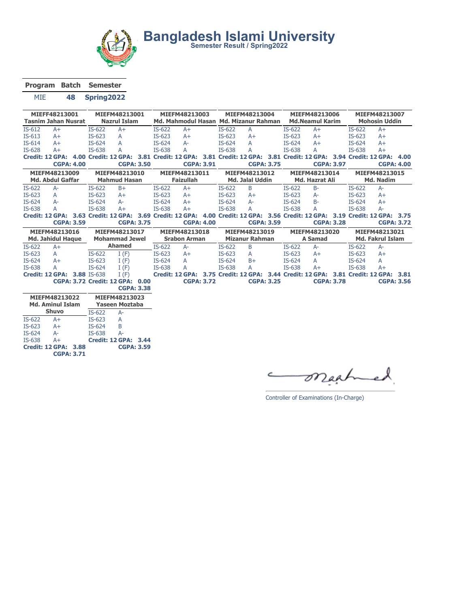

Program Batch Semester

MIE 48 Spring2022

| MIEFF48213001<br><b>Tasnim Jahan Nusrat</b> |                          |  |                     | MIEFM48213001                   |                   |                  | MIEFM48213003                                                                       |                   | MIEFM48213004<br>Md. Mahmodul Hasan Md. Mizanur Rahman |                       |  |                       | MIEFM48213006                                                  |  | MIEFM48213007<br><b>Mohosin Uddin</b> |                         |                   |  |
|---------------------------------------------|--------------------------|--|---------------------|---------------------------------|-------------------|------------------|-------------------------------------------------------------------------------------|-------------------|--------------------------------------------------------|-----------------------|--|-----------------------|----------------------------------------------------------------|--|---------------------------------------|-------------------------|-------------------|--|
|                                             |                          |  |                     | <b>Nazrul Islam</b>             |                   |                  |                                                                                     |                   |                                                        |                       |  |                       | <b>Md.Neamul Karim</b>                                         |  |                                       |                         |                   |  |
| $IS-612$                                    | $A+$                     |  | $IS-622$            | $A+$                            |                   | $IS-622$         | $A+$                                                                                |                   | IS-622                                                 | $\overline{A}$        |  | $IS-622$              | $A+$                                                           |  | $IS-622$                              | $A+$                    |                   |  |
| IS-613                                      | $A+$                     |  | $IS-623$            | A                               |                   | $IS-623$         | $A+$                                                                                |                   | $IS-623$                                               | $A+$                  |  | $IS-623$              | $A+$                                                           |  | $IS-623$                              | $A+$                    |                   |  |
| IS-614                                      | $A+$                     |  | IS-624              | A                               |                   | IS-624           | $A-$                                                                                |                   | IS-624                                                 | A                     |  | IS-624                | $A+$                                                           |  | $IS-624$                              | $A+$                    |                   |  |
| IS-628                                      | $A+$                     |  | IS-638              | A                               |                   | IS-638           | А                                                                                   |                   | IS-638                                                 | A                     |  | IS-638                | A                                                              |  | IS-638                                | $A+$                    |                   |  |
|                                             | Credit: 12 GPA:          |  |                     |                                 |                   |                  | 4.00 Credit: 12 GPA: 3.81 Credit: 12 GPA: 3.81 Credit: 12 GPA: 3.81 Credit: 12 GPA: |                   |                                                        |                       |  |                       |                                                                |  |                                       | 3.94 Credit: 12 GPA:    | 4.00              |  |
|                                             | <b>CGPA: 4.00</b>        |  |                     |                                 | <b>CGPA: 3.50</b> |                  | <b>CGPA: 3.91</b>                                                                   |                   |                                                        | <b>CGPA: 3.75</b>     |  |                       | <b>CGPA: 3.97</b>                                              |  |                                       | <b>CGPA: 4.00</b>       |                   |  |
|                                             | MIEFM48213009            |  | MIEFM48213010       |                                 |                   | MIEFM48213011    |                                                                                     |                   |                                                        | MIEFM48213012         |  | MIEFM48213014         |                                                                |  | MIEFM48213015                         |                         |                   |  |
|                                             | <b>Md. Abdul Gaffar</b>  |  | <b>Mahmud Hasan</b> |                                 |                   | <b>Faizullah</b> |                                                                                     |                   | <b>Md. Jalal Uddin</b>                                 |                       |  | <b>Md. Hazrat Ali</b> |                                                                |  | Md. Nadim                             |                         |                   |  |
| IS-622                                      | $A-$                     |  | $IS-622$            | $B+$                            |                   | $IS-622$         | $A+$                                                                                |                   | IS-622                                                 | B                     |  | IS-622                | $B -$                                                          |  | $IS-622$                              | $A-$                    |                   |  |
| $IS-623$                                    | A                        |  | $IS-623$            | $A+$                            |                   | $IS-623$         | $A+$                                                                                |                   | $IS-623$                                               | $A+$                  |  | $IS-623$              | $A-$                                                           |  | $IS-623$                              | $A+$                    |                   |  |
| IS-624                                      | $A-$                     |  | $IS-624$            | $A-$                            |                   | IS-624           | $A+$                                                                                |                   | IS-624                                                 | $A-$                  |  | IS-624                | $B -$                                                          |  | IS-624                                | $A+$                    |                   |  |
| IS-638                                      | A                        |  | IS-638              | $A+$                            |                   | IS-638           | $A+$                                                                                |                   | IS-638                                                 | A                     |  | IS-638                | A                                                              |  | IS-638                                | $A-$                    |                   |  |
|                                             | <b>Credit: 12 GPA:</b>   |  |                     | 3.63 Credit: 12 GPA:            |                   |                  | 3.69 Credit: 12 GPA:                                                                |                   |                                                        |                       |  |                       | 4.00 Credit: 12 GPA: 3.56 Credit: 12 GPA:                      |  |                                       | 3.19 Credit: 12 GPA:    | 3.75              |  |
|                                             | <b>CGPA: 3.59</b>        |  |                     |                                 | <b>CGPA: 3.75</b> |                  |                                                                                     | <b>CGPA: 4.00</b> |                                                        | <b>CGPA: 3.59</b>     |  |                       | <b>CGPA: 3.28</b>                                              |  |                                       |                         | <b>CGPA: 3.72</b> |  |
|                                             |                          |  |                     |                                 |                   |                  |                                                                                     |                   |                                                        |                       |  |                       |                                                                |  |                                       |                         |                   |  |
|                                             | MIEFM48213016            |  |                     | MIEFM48213017                   |                   |                  | MIEFM48213018                                                                       |                   |                                                        | MIEFM48213019         |  |                       | MIEFM48213020                                                  |  |                                       | MIEFM48213021           |                   |  |
|                                             | <b>Md. Jahidul Haque</b> |  |                     | <b>Mohammad Jewel</b>           |                   |                  | <b>Srabon Arman</b>                                                                 |                   |                                                        | <b>Mizanur Rahman</b> |  |                       | <b>A</b> Samad                                                 |  |                                       | <b>Md. Fakrul Islam</b> |                   |  |
| IS-622                                      | $A+$                     |  |                     | <b>Ahamed</b>                   |                   | IS-622           | $A-$                                                                                |                   | IS-622                                                 | B                     |  | IS-622                | $A-$                                                           |  | $IS-622$                              | $A-$                    |                   |  |
| $IS-623$                                    | A                        |  | $IS-622$            | I(F)                            |                   | $IS-623$         | $A+$                                                                                |                   | $IS-623$                                               | A                     |  | $IS-623$              | $A+$                                                           |  | $IS-623$                              | $A+$                    |                   |  |
| IS-624                                      | $A+$                     |  | $IS-623$            | I(F)                            |                   | $IS-624$         | A                                                                                   |                   | $IS-624$                                               | $B+$                  |  | IS-624                | A                                                              |  | $IS-624$                              | A                       |                   |  |
| IS-638                                      | A                        |  | $IS-624$            | I(F)                            |                   | IS-638           | A                                                                                   |                   | IS-638                                                 | A                     |  | IS-638                | $A+$                                                           |  | IS-638                                | $A+$                    |                   |  |
|                                             | <b>Credit: 12 GPA:</b>   |  | 3.88 IS-638         | I(F)                            |                   |                  | Credit: 12 GPA:                                                                     |                   |                                                        |                       |  |                       | 3.75 Credit: 12 GPA: 3.44 Credit: 12 GPA: 3.81 Credit: 12 GPA: |  |                                       |                         | 3.81              |  |
|                                             |                          |  |                     | CGPA: 3.72 Credit: 12 GPA: 0.00 |                   |                  | <b>CGPA: 3.72</b>                                                                   |                   |                                                        | <b>CGPA: 3.25</b>     |  |                       | <b>CGPA: 3.78</b>                                              |  |                                       | <b>CGPA: 3.56</b>       |                   |  |
|                                             |                          |  |                     |                                 | <b>CGPA: 3.38</b> |                  |                                                                                     |                   |                                                        |                       |  |                       |                                                                |  |                                       |                         |                   |  |
|                                             | MIEFM48213022            |  |                     | MIEFM48213023                   |                   |                  |                                                                                     |                   |                                                        |                       |  |                       |                                                                |  |                                       |                         |                   |  |
|                                             | <b>Md. Aminul Islam</b>  |  |                     | <b>Yaseen Moztaba</b>           |                   |                  |                                                                                     |                   |                                                        |                       |  |                       |                                                                |  |                                       |                         |                   |  |
|                                             | <b>Shuvo</b>             |  | $IS-622$            | $A-$                            |                   |                  |                                                                                     |                   |                                                        |                       |  |                       |                                                                |  |                                       |                         |                   |  |
| $IS-622$                                    | $A+$                     |  | $IS-623$            | A                               |                   |                  |                                                                                     |                   |                                                        |                       |  |                       |                                                                |  |                                       |                         |                   |  |
| $IS-623$                                    | $A+$                     |  | $IS-624$            | B                               |                   |                  |                                                                                     |                   |                                                        |                       |  |                       |                                                                |  |                                       |                         |                   |  |

IS-638 A+ Credit: 12 GPA: 3.88 CGPA: 3.59 Credit: 12 GPA: 3.44

CGPA: 3.71

maah

Controller of Examinations (In-Charge)